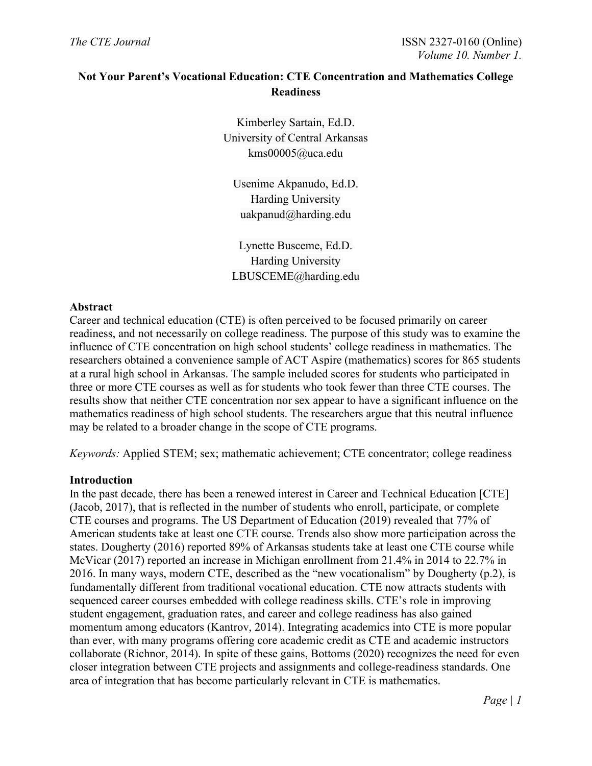# **Not Your Parent's Vocational Education: CTE Concentration and Mathematics College Readiness**

Kimberley Sartain, Ed.D. University of Central Arkansas kms00005@uca.edu

Usenime Akpanudo, Ed.D. Harding University uakpanud@harding.edu

Lynette Busceme, Ed.D. Harding University LBUSCEME@harding.edu

## **Abstract**

Career and technical education (CTE) is often perceived to be focused primarily on career readiness, and not necessarily on college readiness. The purpose of this study was to examine the influence of CTE concentration on high school students' college readiness in mathematics. The researchers obtained a convenience sample of ACT Aspire (mathematics) scores for 865 students at a rural high school in Arkansas. The sample included scores for students who participated in three or more CTE courses as well as for students who took fewer than three CTE courses. The results show that neither CTE concentration nor sex appear to have a significant influence on the mathematics readiness of high school students. The researchers argue that this neutral influence may be related to a broader change in the scope of CTE programs.

*Keywords:* Applied STEM; sex; mathematic achievement; CTE concentrator; college readiness

### **Introduction**

In the past decade, there has been a renewed interest in Career and Technical Education [CTE] (Jacob, 2017), that is reflected in the number of students who enroll, participate, or complete CTE courses and programs. The US Department of Education (2019) revealed that 77% of American students take at least one CTE course. Trends also show more participation across the states. Dougherty (2016) reported 89% of Arkansas students take at least one CTE course while McVicar (2017) reported an increase in Michigan enrollment from 21.4% in 2014 to 22.7% in 2016. In many ways, modern CTE, described as the "new vocationalism" by Dougherty (p.2), is fundamentally different from traditional vocational education. CTE now attracts students with sequenced career courses embedded with college readiness skills. CTE's role in improving student engagement, graduation rates, and career and college readiness has also gained momentum among educators (Kantrov, 2014). Integrating academics into CTE is more popular than ever, with many programs offering core academic credit as CTE and academic instructors collaborate (Richnor, 2014). In spite of these gains, Bottoms (2020) recognizes the need for even closer integration between CTE projects and assignments and college-readiness standards. One area of integration that has become particularly relevant in CTE is mathematics.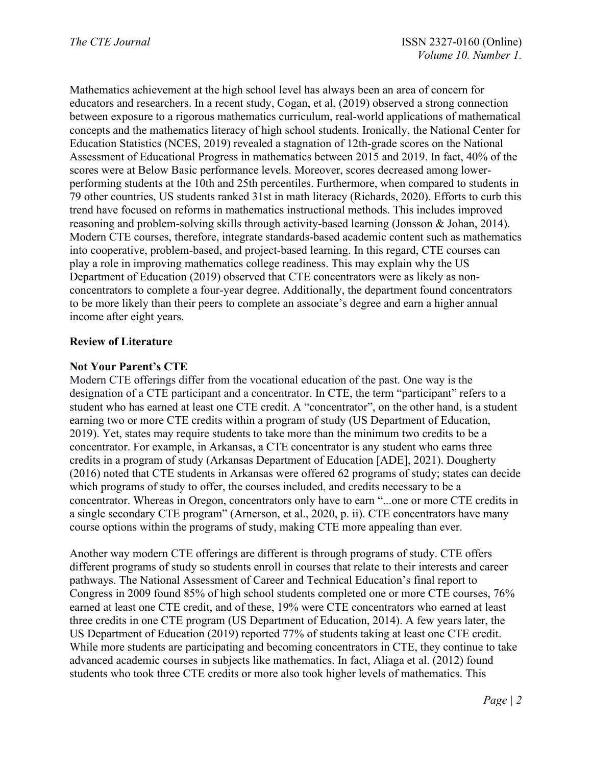Mathematics achievement at the high school level has always been an area of concern for educators and researchers. In a recent study, Cogan, et al, (2019) observed a strong connection between exposure to a rigorous mathematics curriculum, real-world applications of mathematical concepts and the mathematics literacy of high school students. Ironically, the National Center for Education Statistics (NCES, 2019) revealed a stagnation of 12th-grade scores on the National Assessment of Educational Progress in mathematics between 2015 and 2019. In fact, 40% of the scores were at Below Basic performance levels. Moreover, scores decreased among lowerperforming students at the 10th and 25th percentiles. Furthermore, when compared to students in 79 other countries, US students ranked 31st in math literacy (Richards, 2020). Efforts to curb this trend have focused on reforms in mathematics instructional methods. This includes improved reasoning and problem-solving skills through activity-based learning (Jonsson & Johan, 2014). Modern CTE courses, therefore, integrate standards-based academic content such as mathematics into cooperative, problem-based, and project-based learning. In this regard, CTE courses can play a role in improving mathematics college readiness. This may explain why the US Department of Education (2019) observed that CTE concentrators were as likely as nonconcentrators to complete a four-year degree. Additionally, the department found concentrators to be more likely than their peers to complete an associate's degree and earn a higher annual income after eight years.

## **Review of Literature**

## **Not Your Parent's CTE**

Modern CTE offerings differ from the vocational education of the past. One way is the designation of a CTE participant and a concentrator. In CTE, the term "participant" refers to a student who has earned at least one CTE credit. A "concentrator", on the other hand, is a student earning two or more CTE credits within a program of study (US Department of Education, 2019). Yet, states may require students to take more than the minimum two credits to be a concentrator. For example, in Arkansas, a CTE concentrator is any student who earns three credits in a program of study (Arkansas Department of Education [ADE], 2021). Dougherty (2016) noted that CTE students in Arkansas were offered 62 programs of study; states can decide which programs of study to offer, the courses included, and credits necessary to be a concentrator. Whereas in Oregon, concentrators only have to earn "...one or more CTE credits in a single secondary CTE program" (Arnerson, et al., 2020, p. ii). CTE concentrators have many course options within the programs of study, making CTE more appealing than ever.

Another way modern CTE offerings are different is through programs of study. CTE offers different programs of study so students enroll in courses that relate to their interests and career pathways. The National Assessment of Career and Technical Education's final report to Congress in 2009 found 85% of high school students completed one or more CTE courses, 76% earned at least one CTE credit, and of these, 19% were CTE concentrators who earned at least three credits in one CTE program (US Department of Education, 2014). A few years later, the US Department of Education (2019) reported 77% of students taking at least one CTE credit. While more students are participating and becoming concentrators in CTE, they continue to take advanced academic courses in subjects like mathematics. In fact, Aliaga et al. (2012) found students who took three CTE credits or more also took higher levels of mathematics. This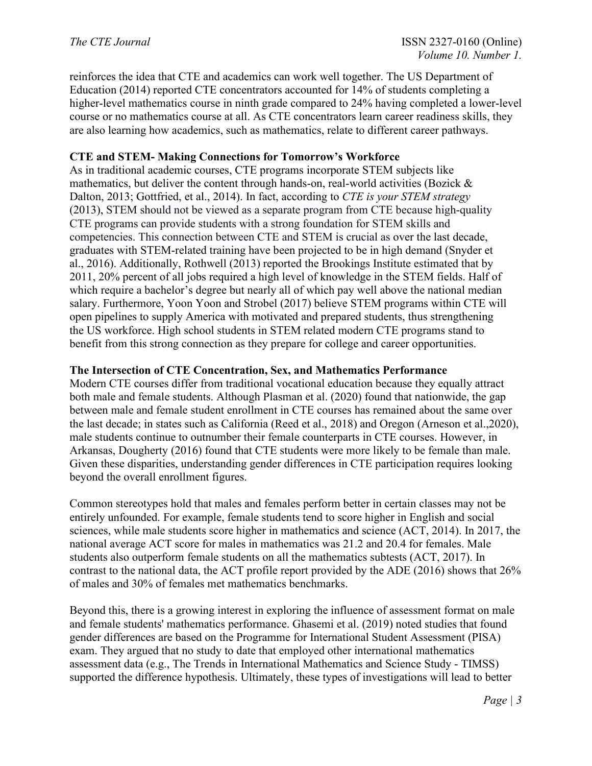reinforces the idea that CTE and academics can work well together. The US Department of Education (2014) reported CTE concentrators accounted for 14% of students completing a higher-level mathematics course in ninth grade compared to 24% having completed a lower-level course or no mathematics course at all. As CTE concentrators learn career readiness skills, they are also learning how academics, such as mathematics, relate to different career pathways.

## **CTE and STEM- Making Connections for Tomorrow's Workforce**

As in traditional academic courses, CTE programs incorporate STEM subjects like mathematics, but deliver the content through hands-on, real-world activities (Bozick & Dalton, 2013; Gottfried, et al., 2014). In fact, according to *CTE is your STEM strategy* (2013), STEM should not be viewed as a separate program from CTE because high-quality CTE programs can provide students with a strong foundation for STEM skills and competencies. This connection between CTE and STEM is crucial as over the last decade, graduates with STEM-related training have been projected to be in high demand (Snyder et al., 2016). Additionally, Rothwell (2013) reported the Brookings Institute estimated that by 2011, 20% percent of all jobs required a high level of knowledge in the STEM fields. Half of which require a bachelor's degree but nearly all of which pay well above the national median salary. Furthermore, Yoon Yoon and Strobel (2017) believe STEM programs within CTE will open pipelines to supply America with motivated and prepared students, thus strengthening the US workforce. High school students in STEM related modern CTE programs stand to benefit from this strong connection as they prepare for college and career opportunities.

### **The Intersection of CTE Concentration, Sex, and Mathematics Performance**

Modern CTE courses differ from traditional vocational education because they equally attract both male and female students. Although Plasman et al. (2020) found that nationwide, the gap between male and female student enrollment in CTE courses has remained about the same over the last decade; in states such as California (Reed et al., 2018) and Oregon (Arneson et al.,2020), male students continue to outnumber their female counterparts in CTE courses. However, in Arkansas, Dougherty (2016) found that CTE students were more likely to be female than male. Given these disparities, understanding gender differences in CTE participation requires looking beyond the overall enrollment figures.

Common stereotypes hold that males and females perform better in certain classes may not be entirely unfounded. For example, female students tend to score higher in English and social sciences, while male students score higher in mathematics and science (ACT, 2014). In 2017, the national average ACT score for males in mathematics was 21.2 and 20.4 for females. Male students also outperform female students on all the mathematics subtests (ACT, 2017). In contrast to the national data, the ACT profile report provided by the ADE (2016) shows that 26% of males and 30% of females met mathematics benchmarks.

Beyond this, there is a growing interest in exploring the influence of assessment format on male and female students' mathematics performance. Ghasemi et al. (2019) noted studies that found gender differences are based on the Programme for International Student Assessment (PISA) exam. They argued that no study to date that employed other international mathematics assessment data (e.g., The Trends in International Mathematics and Science Study - TIMSS) supported the difference hypothesis. Ultimately, these types of investigations will lead to better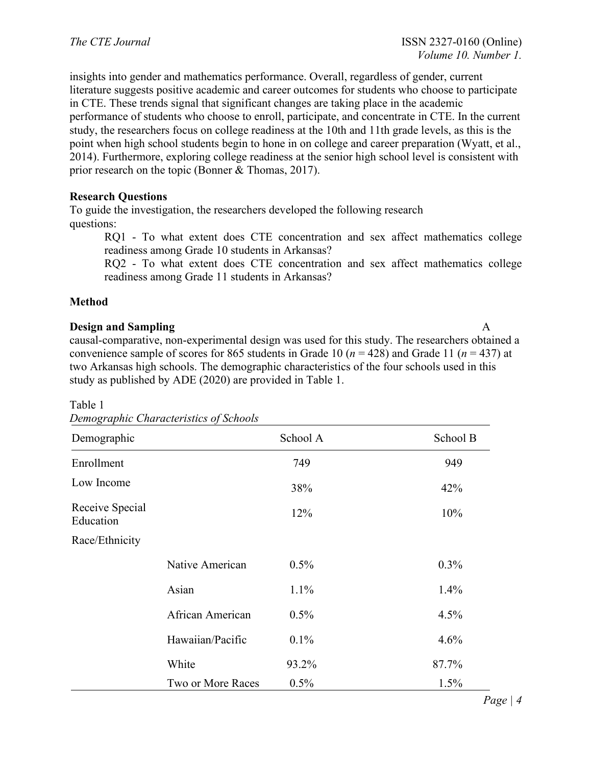insights into gender and mathematics performance. Overall, regardless of gender, current literature suggests positive academic and career outcomes for students who choose to participate in CTE. These trends signal that significant changes are taking place in the academic performance of students who choose to enroll, participate, and concentrate in CTE. In the current study, the researchers focus on college readiness at the 10th and 11th grade levels, as this is the point when high school students begin to hone in on college and career preparation (Wyatt, et al., 2014). Furthermore, exploring college readiness at the senior high school level is consistent with prior research on the topic (Bonner & Thomas, 2017).

## **Research Questions**

To guide the investigation, the researchers developed the following research questions:

RQ1 - To what extent does CTE concentration and sex affect mathematics college readiness among Grade 10 students in Arkansas?

RQ2 - To what extent does CTE concentration and sex affect mathematics college readiness among Grade 11 students in Arkansas?

## **Method**

## **Design and Sampling** A

causal-comparative, non-experimental design was used for this study. The researchers obtained a convenience sample of scores for 865 students in Grade 10 (*n* = 428) and Grade 11 (*n* = 437) at two Arkansas high schools. The demographic characteristics of the four schools used in this study as published by ADE (2020) are provided in Table 1.

#### Table 1

| Demographic                  |                   | School A | School B |
|------------------------------|-------------------|----------|----------|
| Enrollment                   |                   | 749      | 949      |
| Low Income                   |                   | 38%      | 42%      |
| Receive Special<br>Education |                   | 12%      | 10%      |
| Race/Ethnicity               |                   |          |          |
|                              | Native American   | $0.5\%$  | $0.3\%$  |
|                              | Asian             | 1.1%     | $1.4\%$  |
|                              | African American  | $0.5\%$  | 4.5%     |
|                              | Hawaiian/Pacific  | 0.1%     | 4.6%     |
|                              | White             | 93.2%    | 87.7%    |
|                              | Two or More Races | $0.5\%$  | 1.5%     |

*Demographic Characteristics of Schools* 

*Page | 4*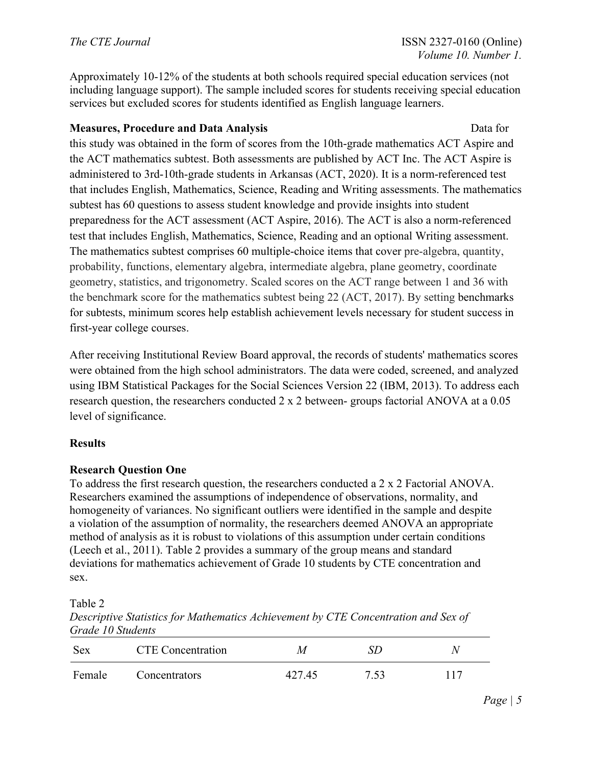Approximately 10-12% of the students at both schools required special education services (not including language support). The sample included scores for students receiving special education services but excluded scores for students identified as English language learners.

## **Measures, Procedure and Data Analysis** *Data* **for** *Data for**Data for*

this study was obtained in the form of scores from the 10th-grade mathematics ACT Aspire and the ACT mathematics subtest. Both assessments are published by ACT Inc. The ACT Aspire is administered to 3rd-10th-grade students in Arkansas (ACT, 2020). It is a norm-referenced test that includes English, Mathematics, Science, Reading and Writing assessments. The mathematics subtest has 60 questions to assess student knowledge and provide insights into student preparedness for the ACT assessment (ACT Aspire, 2016). The ACT is also a norm-referenced test that includes English, Mathematics, Science, Reading and an optional Writing assessment. The mathematics subtest comprises 60 multiple-choice items that cover pre-algebra, quantity, probability, functions, elementary algebra, intermediate algebra, plane geometry, coordinate geometry, statistics, and trigonometry. Scaled scores on the ACT range between 1 and 36 with the benchmark score for the mathematics subtest being 22 (ACT, 2017). By setting benchmarks for subtests, minimum scores help establish achievement levels necessary for student success in first-year college courses.

After receiving Institutional Review Board approval, the records of students' mathematics scores were obtained from the high school administrators. The data were coded, screened, and analyzed using IBM Statistical Packages for the Social Sciences Version 22 (IBM, 2013). To address each research question, the researchers conducted 2 x 2 between- groups factorial ANOVA at a 0.05 level of significance.

## **Results**

## **Research Question One**

To address the first research question, the researchers conducted a 2 x 2 Factorial ANOVA. Researchers examined the assumptions of independence of observations, normality, and homogeneity of variances. No significant outliers were identified in the sample and despite a violation of the assumption of normality, the researchers deemed ANOVA an appropriate method of analysis as it is robust to violations of this assumption under certain conditions (Leech et al., 2011). Table 2 provides a summary of the group means and standard deviations for mathematics achievement of Grade 10 students by CTE concentration and sex.

Table 2

*Descriptive Statistics for Mathematics Achievement by CTE Concentration and Sex of Grade 10 Students* 

| Sex    | <b>CTE</b> Concentration | M      | 87 I |     |
|--------|--------------------------|--------|------|-----|
| Female | Concentrators            | 427.45 | 7.53 | 117 |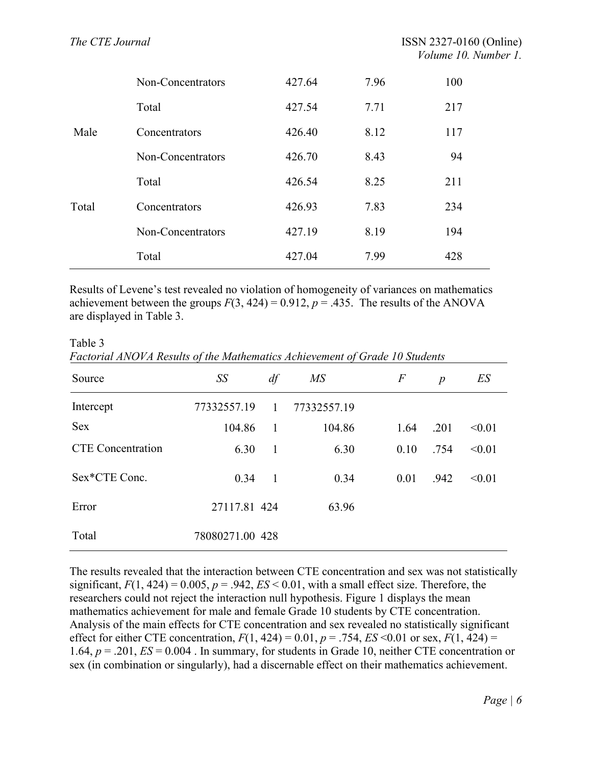|       | Non-Concentrators | 427.64 | 7.96 | 100 |
|-------|-------------------|--------|------|-----|
|       | Total             | 427.54 | 7.71 | 217 |
| Male  | Concentrators     | 426.40 | 8.12 | 117 |
|       | Non-Concentrators | 426.70 | 8.43 | 94  |
|       | Total             | 426.54 | 8.25 | 211 |
| Total | Concentrators     | 426.93 | 7.83 | 234 |
|       | Non-Concentrators | 427.19 | 8.19 | 194 |
|       | Total             | 427.04 | 7.99 | 428 |

Results of Levene's test revealed no violation of homogeneity of variances on mathematics achievement between the groups  $F(3, 424) = 0.912$ ,  $p = .435$ . The results of the ANOVA are displayed in Table 3.

Table 3 *Factorial ANOVA Results of the Mathematics Achievement of Grade 10 Students*

| Source                   | SS              | df             | $M\!S$      | $\,F$ | $\boldsymbol{p}$ | ES     |
|--------------------------|-----------------|----------------|-------------|-------|------------------|--------|
| Intercept                | 77332557.19     | $\overline{1}$ | 77332557.19 |       |                  |        |
| <b>Sex</b>               | 104.86          | $\overline{1}$ | 104.86      | 1.64  | .201             | < 0.01 |
| <b>CTE</b> Concentration | 6.30            | 1              | 6.30        | 0.10  | .754             | < 0.01 |
| Sex*CTE Conc.            | 0.34            | $\overline{1}$ | 0.34        | 0.01  | .942             | < 0.01 |
| Error                    | 27117.81 424    |                | 63.96       |       |                  |        |
| Total                    | 78080271.00 428 |                |             |       |                  |        |

The results revealed that the interaction between CTE concentration and sex was not statistically significant,  $F(1, 424) = 0.005$ ,  $p = .942$ ,  $ES < 0.01$ , with a small effect size. Therefore, the researchers could not reject the interaction null hypothesis. Figure 1 displays the mean mathematics achievement for male and female Grade 10 students by CTE concentration. Analysis of the main effects for CTE concentration and sex revealed no statistically significant effect for either CTE concentration,  $F(1, 424) = 0.01$ ,  $p = .754$ ,  $ES < 0.01$  or sex,  $F(1, 424) =$ 1.64, *p* = .201, *ES* = 0.004 . In summary, for students in Grade 10, neither CTE concentration or sex (in combination or singularly), had a discernable effect on their mathematics achievement.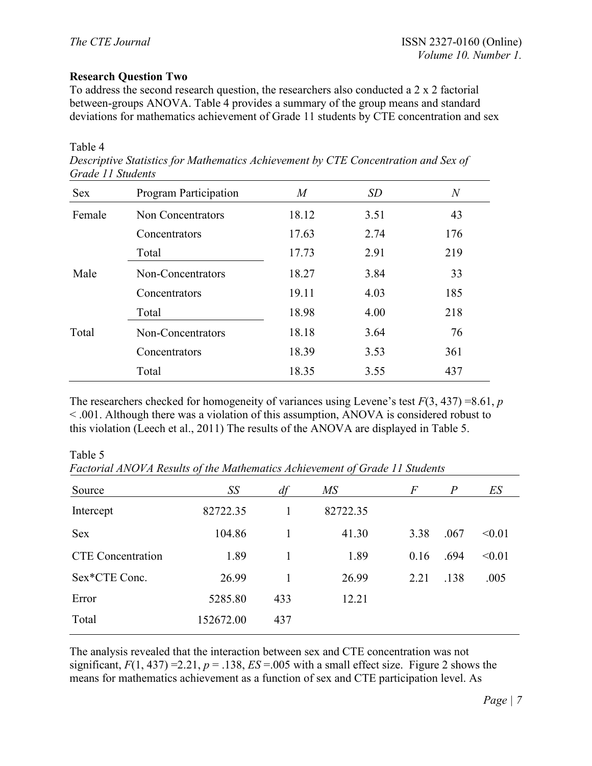## **Research Question Two**

To address the second research question, the researchers also conducted a 2 x 2 factorial between-groups ANOVA. Table 4 provides a summary of the group means and standard deviations for mathematics achievement of Grade 11 students by CTE concentration and sex

#### Table 4

| Descriptive Statistics for Mathematics Achievement by CTE Concentration and Sex of |
|------------------------------------------------------------------------------------|
| Grade 11 Students                                                                  |

| <b>Sex</b> | Program Participation | M     | <i>SD</i> | $\,N$ |
|------------|-----------------------|-------|-----------|-------|
| Female     | Non Concentrators     | 18.12 | 3.51      | 43    |
|            | Concentrators         | 17.63 | 2.74      | 176   |
|            | Total                 | 17.73 | 2.91      | 219   |
| Male       | Non-Concentrators     | 18.27 | 3.84      | 33    |
|            | Concentrators         | 19.11 | 4.03      | 185   |
|            | Total                 | 18.98 | 4.00      | 218   |
| Total      | Non-Concentrators     | 18.18 | 3.64      | 76    |
|            | Concentrators         | 18.39 | 3.53      | 361   |
|            | Total                 | 18.35 | 3.55      | 437   |

The researchers checked for homogeneity of variances using Levene's test  $F(3, 437) = 8.61$ , *p* < .001. Although there was a violation of this assumption, ANOVA is considered robust to this violation (Leech et al., 2011) The results of the ANOVA are displayed in Table 5.

Table 5 *Factorial ANOVA Results of the Mathematics Achievement of Grade 11 Students*

| Source                   | SS        | df  | $\overline{MS}$ | F    | $\overline{P}$ | ES     |  |
|--------------------------|-----------|-----|-----------------|------|----------------|--------|--|
| Intercept                | 82722.35  | 1   | 82722.35        |      |                |        |  |
| Sex                      | 104.86    |     | 41.30           | 3.38 | .067           | < 0.01 |  |
| <b>CTE</b> Concentration | 1.89      | 1   | 1.89            | 0.16 | .694           | < 0.01 |  |
| Sex*CTE Conc.            | 26.99     |     | 26.99           | 2.21 | .138           | .005   |  |
| Error                    | 5285.80   | 433 | 12.21           |      |                |        |  |
| Total                    | 152672.00 | 437 |                 |      |                |        |  |
|                          |           |     |                 |      |                |        |  |

The analysis revealed that the interaction between sex and CTE concentration was not significant,  $F(1, 437) = 2.21$ ,  $p = .138$ ,  $ES = .005$  with a small effect size. Figure 2 shows the means for mathematics achievement as a function of sex and CTE participation level. As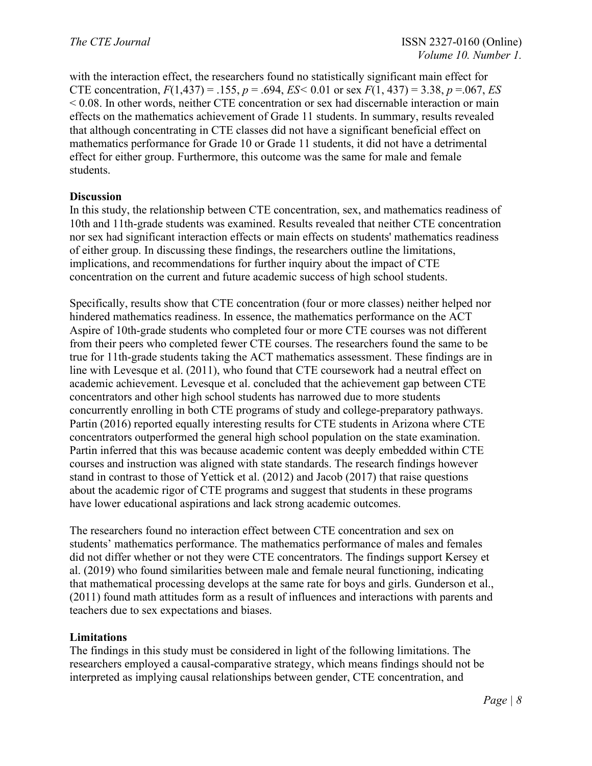with the interaction effect, the researchers found no statistically significant main effect for CTE concentration,  $F(1,437) = .155$ ,  $p = .694$ ,  $ES < 0.01$  or sex  $F(1, 437) = 3.38$ ,  $p = .067$ , *ES* < 0.08. In other words, neither CTE concentration or sex had discernable interaction or main effects on the mathematics achievement of Grade 11 students. In summary, results revealed that although concentrating in CTE classes did not have a significant beneficial effect on mathematics performance for Grade 10 or Grade 11 students, it did not have a detrimental effect for either group. Furthermore, this outcome was the same for male and female students.

## **Discussion**

In this study, the relationship between CTE concentration, sex, and mathematics readiness of 10th and 11th-grade students was examined. Results revealed that neither CTE concentration nor sex had significant interaction effects or main effects on students' mathematics readiness of either group. In discussing these findings, the researchers outline the limitations, implications, and recommendations for further inquiry about the impact of CTE concentration on the current and future academic success of high school students.

Specifically, results show that CTE concentration (four or more classes) neither helped nor hindered mathematics readiness. In essence, the mathematics performance on the ACT Aspire of 10th-grade students who completed four or more CTE courses was not different from their peers who completed fewer CTE courses. The researchers found the same to be true for 11th-grade students taking the ACT mathematics assessment. These findings are in line with Levesque et al. (2011), who found that CTE coursework had a neutral effect on academic achievement. Levesque et al. concluded that the achievement gap between CTE concentrators and other high school students has narrowed due to more students concurrently enrolling in both CTE programs of study and college-preparatory pathways. Partin (2016) reported equally interesting results for CTE students in Arizona where CTE concentrators outperformed the general high school population on the state examination. Partin inferred that this was because academic content was deeply embedded within CTE courses and instruction was aligned with state standards. The research findings however stand in contrast to those of Yettick et al. (2012) and Jacob (2017) that raise questions about the academic rigor of CTE programs and suggest that students in these programs have lower educational aspirations and lack strong academic outcomes.

The researchers found no interaction effect between CTE concentration and sex on students' mathematics performance. The mathematics performance of males and females did not differ whether or not they were CTE concentrators. The findings support Kersey et al. (2019) who found similarities between male and female neural functioning, indicating that mathematical processing develops at the same rate for boys and girls. Gunderson et al., (2011) found math attitudes form as a result of influences and interactions with parents and teachers due to sex expectations and biases.

## **Limitations**

The findings in this study must be considered in light of the following limitations. The researchers employed a causal-comparative strategy, which means findings should not be interpreted as implying causal relationships between gender, CTE concentration, and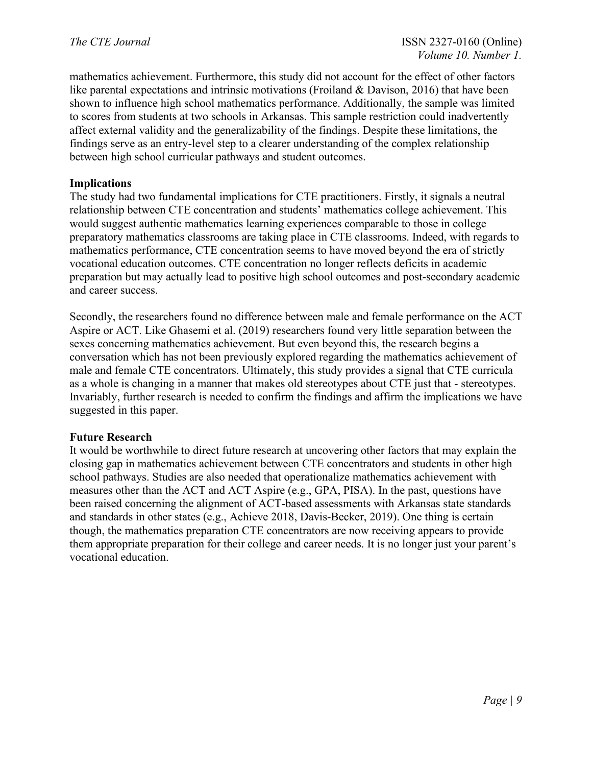mathematics achievement. Furthermore, this study did not account for the effect of other factors like parental expectations and intrinsic motivations (Froiland & Davison, 2016) that have been shown to influence high school mathematics performance. Additionally, the sample was limited to scores from students at two schools in Arkansas. This sample restriction could inadvertently affect external validity and the generalizability of the findings. Despite these limitations, the findings serve as an entry-level step to a clearer understanding of the complex relationship between high school curricular pathways and student outcomes.

### **Implications**

The study had two fundamental implications for CTE practitioners. Firstly, it signals a neutral relationship between CTE concentration and students' mathematics college achievement. This would suggest authentic mathematics learning experiences comparable to those in college preparatory mathematics classrooms are taking place in CTE classrooms. Indeed, with regards to mathematics performance, CTE concentration seems to have moved beyond the era of strictly vocational education outcomes. CTE concentration no longer reflects deficits in academic preparation but may actually lead to positive high school outcomes and post-secondary academic and career success.

Secondly, the researchers found no difference between male and female performance on the ACT Aspire or ACT. Like Ghasemi et al. (2019) researchers found very little separation between the sexes concerning mathematics achievement. But even beyond this, the research begins a conversation which has not been previously explored regarding the mathematics achievement of male and female CTE concentrators. Ultimately, this study provides a signal that CTE curricula as a whole is changing in a manner that makes old stereotypes about CTE just that - stereotypes. Invariably, further research is needed to confirm the findings and affirm the implications we have suggested in this paper.

### **Future Research**

It would be worthwhile to direct future research at uncovering other factors that may explain the closing gap in mathematics achievement between CTE concentrators and students in other high school pathways. Studies are also needed that operationalize mathematics achievement with measures other than the ACT and ACT Aspire (e.g., GPA, PISA). In the past, questions have been raised concerning the alignment of ACT-based assessments with Arkansas state standards and standards in other states (e.g., Achieve 2018, Davis-Becker, 2019). One thing is certain though, the mathematics preparation CTE concentrators are now receiving appears to provide them appropriate preparation for their college and career needs. It is no longer just your parent's vocational education.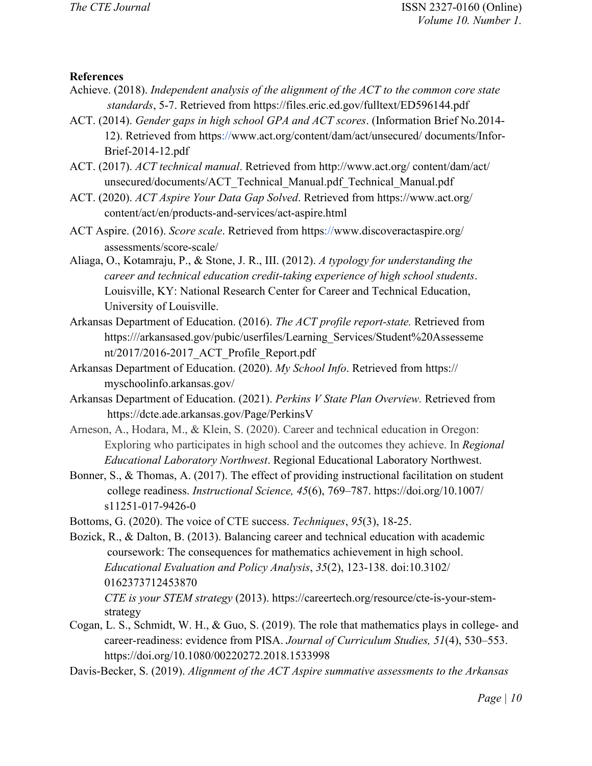### **References**

- Achieve. (2018). *Independent analysis of the alignment of the ACT to the common core state standards*, 5-7. Retrieved from https://files.eric.ed.gov/fulltext/ED596144.pdf
- ACT. (2014). *Gender gaps in high school GPA and ACT scores*. (Information Brief No.2014- 12). Retrieved from http[s://w](http://www.act.org/content/dam/act/unsecured/)ww.act.org/content/dam/act/unsecured/ documents/Infor-Brief-2014-12.pdf
- ACT. (2017). *ACT technical manual*. Retrieved from [h](http://www.act.org/)ttp://www.act.org/ content/dam/act/ unsecured/documents/ACT\_Technical\_Manual.pdf\_Technical\_Manual.pdf
- ACT. (2020). *ACT Aspire Your Data Gap Solved*. Retrieved from https://www.act.org/ content/act/en/products-and-services/act-aspire.html
- ACT Aspire. (2016). *Score scale*. Retrieved from http[s://w](http://www.discoveractaspire.org/assessments/score-scale/)ww.discoveractaspire.org/ assessments/score-scale/
- Aliaga, O., Kotamraju, P., & Stone, J. R., III. (2012). *A typology for understanding the career and technical education credit-taking experience of high school students*. Louisville, KY: National Research Center for Career and Technical Education, University of Louisville.
- Arkansas Department of Education. (2016). *The ACT profile report-state.* Retrieved from https:///arkansased.gov/pubic/userfiles/Learning\_Services/Student%20Assesseme nt/2017/2016-2017\_ACT\_Profile\_Report.pdf
- Arkansas Department of Education. (2020). *My School Info*. Retrieved from https:// myschoolinfo.arkansas.gov/
- Arkansas Department of Education. (2021). *Perkins V State Plan Overview.* Retrieved from https://dcte.ade.arkansas.gov/Page/PerkinsV
- Arneson, A., Hodara, M., & Klein, S. (2020). Career and technical education in Oregon: Exploring who participates in high school and the outcomes they achieve. In *Regional Educational Laboratory Northwest*. Regional Educational Laboratory Northwest.
- Bonner, S., & Thomas, A. (2017). The effect of providing instructional facilitation on student college readiness. *Instructional Science, 45*(6), 769–787. https://doi.org/10.1007/ s11251-017-9426-0
- Bottoms, G. (2020). The voice of CTE success. *Techniques*, *95*(3), 18-25.
- Bozick, R., & Dalton, B. (2013). Balancing career and technical education with academic coursework: The consequences for mathematics achievement in high school. *Educational Evaluation and Policy Analysis*, *35*(2), 123-138. doi:10.3102/ 0162373712453870 *CTE is your STEM strategy* (2013). https://careertech.org/resource/cte-is-your-stemstrategy
- Cogan, L. S., Schmidt, W. H., & Guo, S. (2019). The role that mathematics plays in college- and career-readiness: evidence from PISA. *Journal of Curriculum Studies, 51*(4), 530–553. https://doi.org/10.1080/00220272.2018.1533998
- Davis-Becker, S. (2019). *Alignment of the ACT Aspire summative assessments to the Arkansas*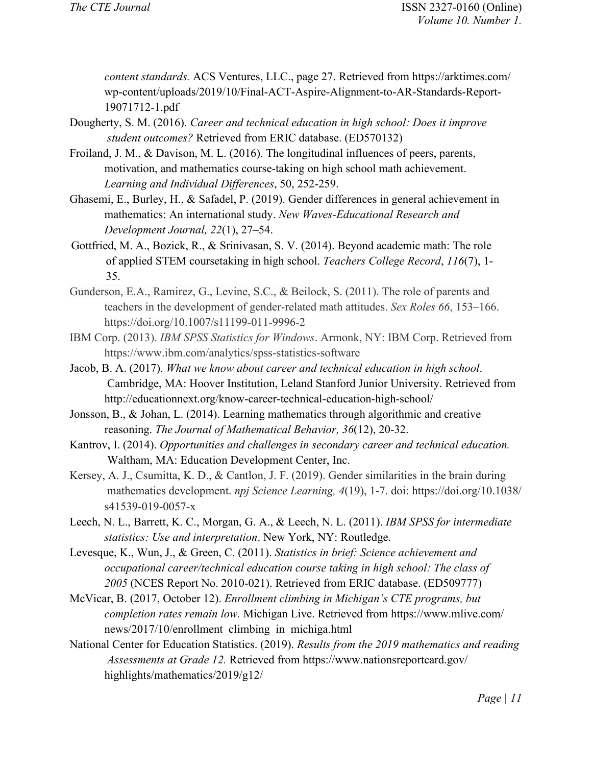*content standards.* ACS Ventures, LLC., page 27. Retrieved from https://arktimes.com/ wp-content/uploads/2019/10/Final-ACT-Aspire-Alignment-to-AR-Standards-Report-19071712-1.pdf

- Dougherty, S. M. (2016). *Career and technical education in high school: Does it improve student outcomes?* Retrieved from ERIC database. (ED570132)
- Froiland, J. M., & Davison, M. L. (2016). The longitudinal influences of peers, parents, motivation, and mathematics course-taking on high school math achievement. *Learning and Individual Differences*, 50, 252-259.
- Ghasemi, E., Burley, H., & Safadel, P. (2019). Gender differences in general achievement in mathematics: An international study. *New Waves-Educational Research and Development Journal, 22*(1), 27–54.
- Gottfried, M. A., Bozick, R., & Srinivasan, S. V. (2014). Beyond academic math: The role of applied STEM coursetaking in high school. *Teachers College Record*, *116*(7), 1- 35.
- Gunderson, E.A., Ramirez, G., Levine, S.C., & Beilock, S. (2011). The role of parents and teachers in the development of gender-related math attitudes. *Sex Roles 66*, 153–166. https://doi.org/10.1007/s11199-011-9996-2
- IBM Corp. (2013). *IBM SPSS Statistics for Windows*. Armonk, NY: IBM Corp. Retrieved from https://www.ibm.com/analytics/spss-statistics-software
- Jacob, B. A. (2017). *What we know about career and technical education in high school*. Cambridge, MA: Hoover Institution, Leland Stanford Junior University. Retrieved fro[m](http://educationnext.org/know-career-technical-education-high-school/) http://educationnext.org/know-career-technical-education-high-school/
- Jonsson, B., & Johan, L. (2014). Learning mathematics through algorithmic and creative reasoning. *The Journal of Mathematical Behavior, 36*(12), 20-32.
- Kantrov, I. (2014). *Opportunities and challenges in secondary career and technical education.*  Waltham, MA: Education Development Center, Inc.
- Kersey, A. J., Csumitta, K. D., & Cantlon, J. F. (2019). Gender similarities in the brain during mathematics development. *npj Science Learning, 4*(19), 1-7. doi: https://doi.org/10.1038/ s41539-019-0057-x
- Leech, N. L., Barrett, K. C., Morgan, G. A., & Leech, N. L. (2011). *IBM SPSS for intermediate statistics: Use and interpretation*. New York, NY: Routledge.
- Levesque, K., Wun, J., & Green, C. (2011). *Statistics in brief: Science achievement and occupational career/technical education course taking in high school: The class of 2005* (NCES Report No. 2010-021). Retrieved from ERIC database. (ED509777)
- McVicar, B. (2017, October 12). *Enrollment climbing in Michigan's CTE programs, but completion rates remain low.* Michigan Live. Retrieved from https://www.mlive.com/ news/2017/10/enrollment\_climbing\_in\_michiga.html
- National Center for Education Statistics. (2019). *Results from the 2019 mathematics and reading Assessments at Grade 12.* Retrieved from<https://www.nationsreportcard.gov/> highlights/mathematics/2019/g12/